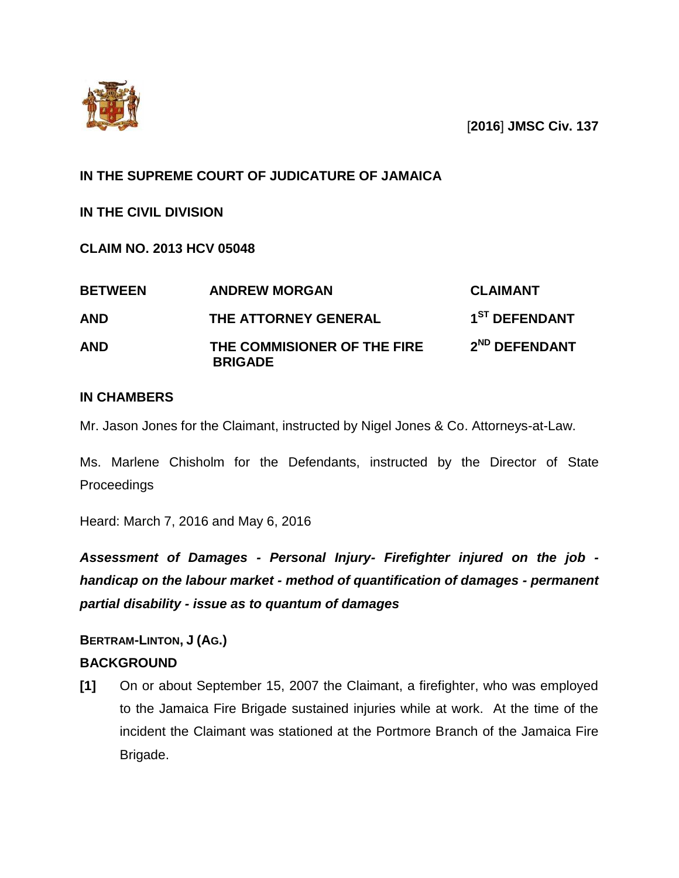

[**2016**] **JMSC Civ. 137**

## **IN THE SUPREME COURT OF JUDICATURE OF JAMAICA**

**IN THE CIVIL DIVISION**

**CLAIM NO. 2013 HCV 05048**

| <b>BETWEEN</b> | <b>ANDREW MORGAN</b>                          | <b>CLAIMANT</b>           |
|----------------|-----------------------------------------------|---------------------------|
| <b>AND</b>     | THE ATTORNEY GENERAL                          | 1 <sup>ST</sup> DEFENDANT |
| <b>AND</b>     | THE COMMISIONER OF THE FIRE<br><b>BRIGADE</b> | 2 <sup>ND</sup> DEFENDANT |

### **IN CHAMBERS**

Mr. Jason Jones for the Claimant, instructed by Nigel Jones & Co. Attorneys-at-Law.

Ms. Marlene Chisholm for the Defendants, instructed by the Director of State Proceedings

Heard: March 7, 2016 and May 6, 2016

*Assessment of Damages - Personal Injury- Firefighter injured on the job handicap on the labour market - method of quantification of damages - permanent partial disability - issue as to quantum of damages*

# **BERTRAM-LINTON, J (AG.) BACKGROUND**

**[1]** On or about September 15, 2007 the Claimant, a firefighter, who was employed to the Jamaica Fire Brigade sustained injuries while at work. At the time of the incident the Claimant was stationed at the Portmore Branch of the Jamaica Fire Brigade.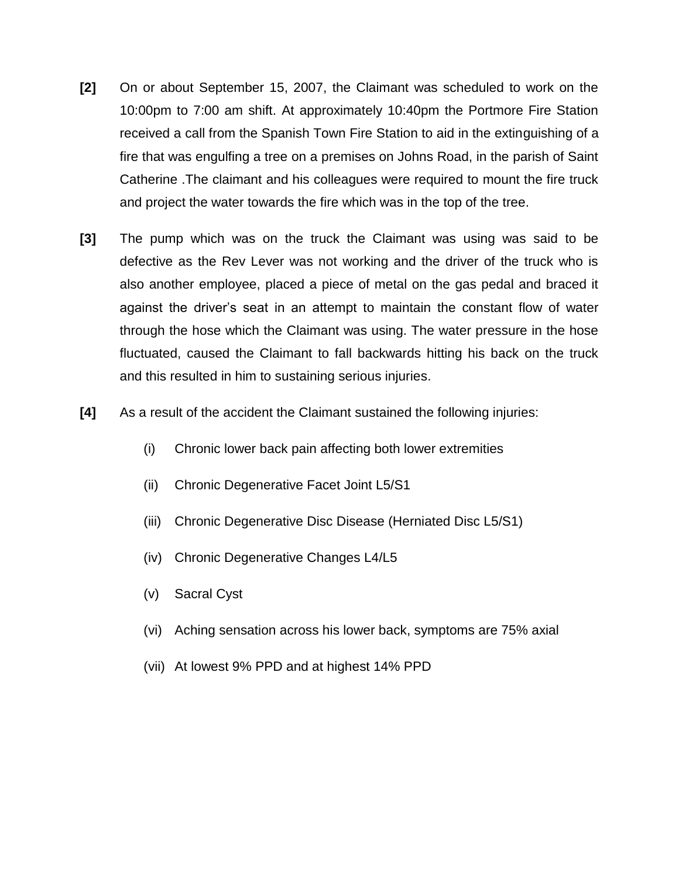- **[2]** On or about September 15, 2007, the Claimant was scheduled to work on the 10:00pm to 7:00 am shift. At approximately 10:40pm the Portmore Fire Station received a call from the Spanish Town Fire Station to aid in the extinguishing of a fire that was engulfing a tree on a premises on Johns Road, in the parish of Saint Catherine .The claimant and his colleagues were required to mount the fire truck and project the water towards the fire which was in the top of the tree.
- **[3]** The pump which was on the truck the Claimant was using was said to be defective as the Rev Lever was not working and the driver of the truck who is also another employee, placed a piece of metal on the gas pedal and braced it against the driver's seat in an attempt to maintain the constant flow of water through the hose which the Claimant was using. The water pressure in the hose fluctuated, caused the Claimant to fall backwards hitting his back on the truck and this resulted in him to sustaining serious injuries.
- **[4]** As a result of the accident the Claimant sustained the following injuries:
	- (i) Chronic lower back pain affecting both lower extremities
	- (ii) Chronic Degenerative Facet Joint L5/S1
	- (iii) Chronic Degenerative Disc Disease (Herniated Disc L5/S1)
	- (iv) Chronic Degenerative Changes L4/L5
	- (v) Sacral Cyst
	- (vi) Aching sensation across his lower back, symptoms are 75% axial
	- (vii) At lowest 9% PPD and at highest 14% PPD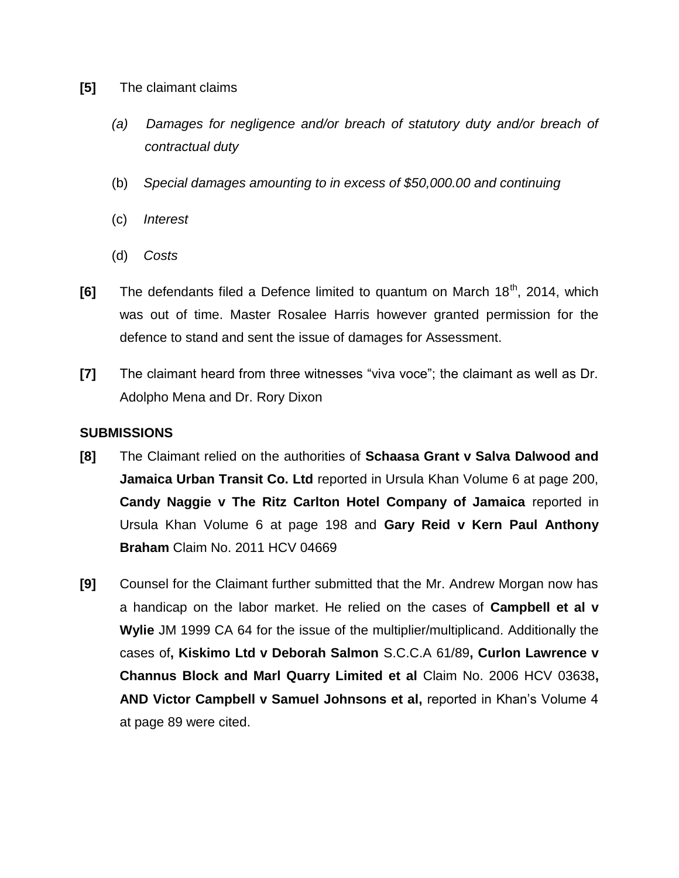- **[5]** The claimant claims
	- (a) Damages for negligence and/or breach of statutory duty and/or breach of *contractual duty*
	- (b) *Special damages amounting to in excess of \$50,000.00 and continuing*
	- (c) *Interest*
	- (d) *Costs*
- **[6]** The defendants filed a Defence limited to quantum on March 18<sup>th</sup>, 2014, which was out of time. Master Rosalee Harris however granted permission for the defence to stand and sent the issue of damages for Assessment.
- **[7]** The claimant heard from three witnesses "viva voce"; the claimant as well as Dr. Adolpho Mena and Dr. Rory Dixon

#### **SUBMISSIONS**

- **[8]** The Claimant relied on the authorities of **Schaasa Grant v Salva Dalwood and Jamaica Urban Transit Co. Ltd** reported in Ursula Khan Volume 6 at page 200, **Candy Naggie v The Ritz Carlton Hotel Company of Jamaica** reported in Ursula Khan Volume 6 at page 198 and **Gary Reid v Kern Paul Anthony Braham** Claim No. 2011 HCV 04669
- **[9]** Counsel for the Claimant further submitted that the Mr. Andrew Morgan now has a handicap on the labor market. He relied on the cases of **Campbell et al v Wylie** JM 1999 CA 64 for the issue of the multiplier/multiplicand. Additionally the cases of**, Kiskimo Ltd v Deborah Salmon** S.C.C.A 61/89**, Curlon Lawrence v Channus Block and Marl Quarry Limited et al** Claim No. 2006 HCV 03638**, AND Victor Campbell v Samuel Johnsons et al,** reported in Khan's Volume 4 at page 89 were cited.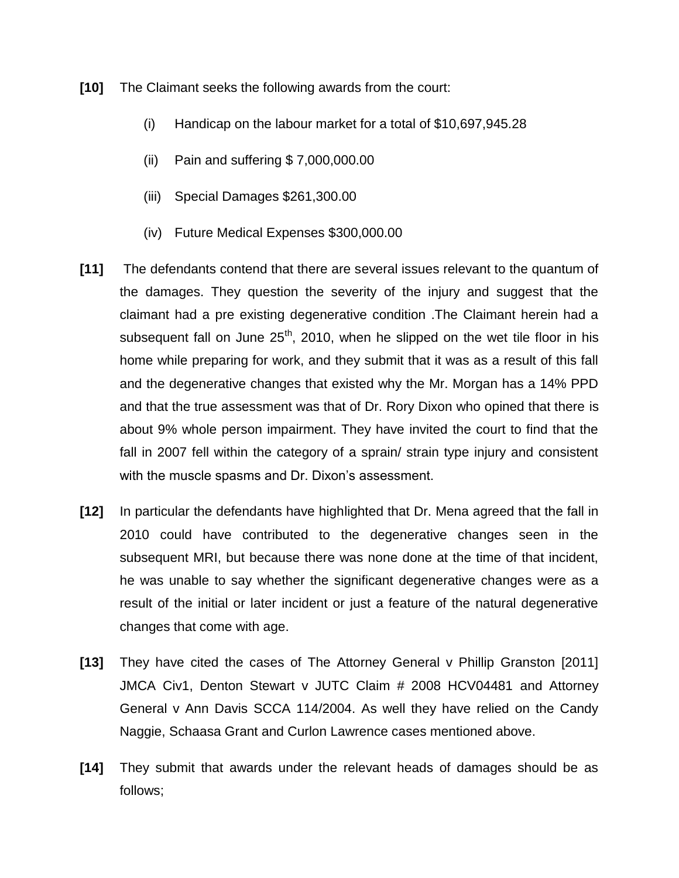**[10]** The Claimant seeks the following awards from the court:

- (i) Handicap on the labour market for a total of \$10,697,945.28
- (ii) Pain and suffering \$ 7,000,000.00
- (iii) Special Damages \$261,300.00
- (iv) Future Medical Expenses \$300,000.00
- **[11]** The defendants contend that there are several issues relevant to the quantum of the damages. They question the severity of the injury and suggest that the claimant had a pre existing degenerative condition .The Claimant herein had a subsequent fall on June  $25<sup>th</sup>$ , 2010, when he slipped on the wet tile floor in his home while preparing for work, and they submit that it was as a result of this fall and the degenerative changes that existed why the Mr. Morgan has a 14% PPD and that the true assessment was that of Dr. Rory Dixon who opined that there is about 9% whole person impairment. They have invited the court to find that the fall in 2007 fell within the category of a sprain/ strain type injury and consistent with the muscle spasms and Dr. Dixon's assessment.
- **[12]** In particular the defendants have highlighted that Dr. Mena agreed that the fall in 2010 could have contributed to the degenerative changes seen in the subsequent MRI, but because there was none done at the time of that incident, he was unable to say whether the significant degenerative changes were as a result of the initial or later incident or just a feature of the natural degenerative changes that come with age.
- **[13]** They have cited the cases of The Attorney General v Phillip Granston [2011] JMCA Civ1, Denton Stewart v JUTC Claim # 2008 HCV04481 and Attorney General v Ann Davis SCCA 114/2004. As well they have relied on the Candy Naggie, Schaasa Grant and Curlon Lawrence cases mentioned above.
- **[14]** They submit that awards under the relevant heads of damages should be as follows;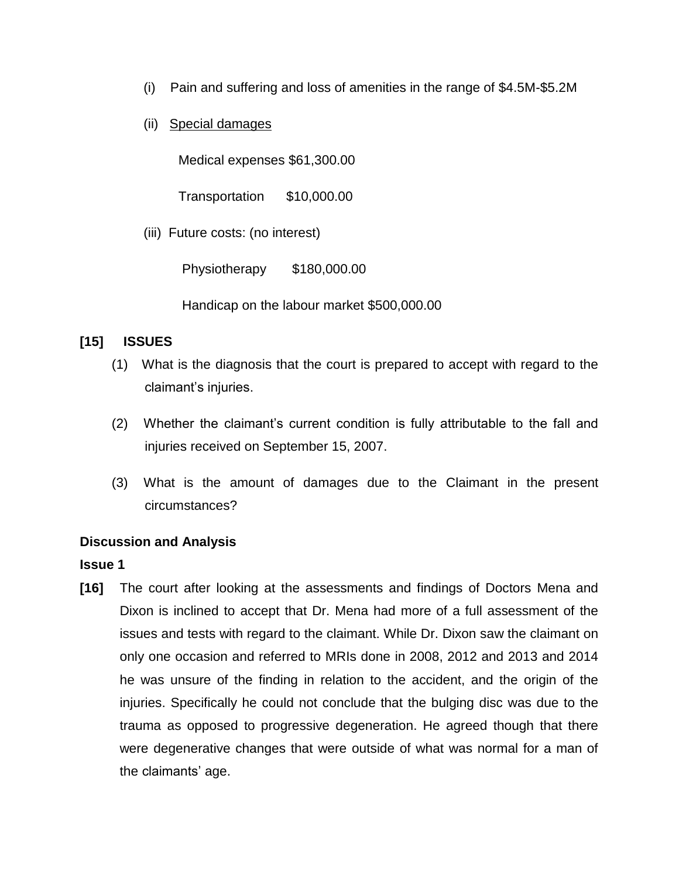- (i) Pain and suffering and loss of amenities in the range of \$4.5M-\$5.2M
- (ii) Special damages

Medical expenses \$61,300.00

Transportation \$10,000.00

(iii) Future costs: (no interest)

Physiotherapy \$180,000.00

Handicap on the labour market \$500,000.00

### **[15] ISSUES**

- (1) What is the diagnosis that the court is prepared to accept with regard to the claimant's injuries.
- (2) Whether the claimant's current condition is fully attributable to the fall and injuries received on September 15, 2007.
- (3) What is the amount of damages due to the Claimant in the present circumstances?

### **Discussion and Analysis**

### **Issue 1**

**[16]** The court after looking at the assessments and findings of Doctors Mena and Dixon is inclined to accept that Dr. Mena had more of a full assessment of the issues and tests with regard to the claimant. While Dr. Dixon saw the claimant on only one occasion and referred to MRIs done in 2008, 2012 and 2013 and 2014 he was unsure of the finding in relation to the accident, and the origin of the injuries. Specifically he could not conclude that the bulging disc was due to the trauma as opposed to progressive degeneration. He agreed though that there were degenerative changes that were outside of what was normal for a man of the claimants' age.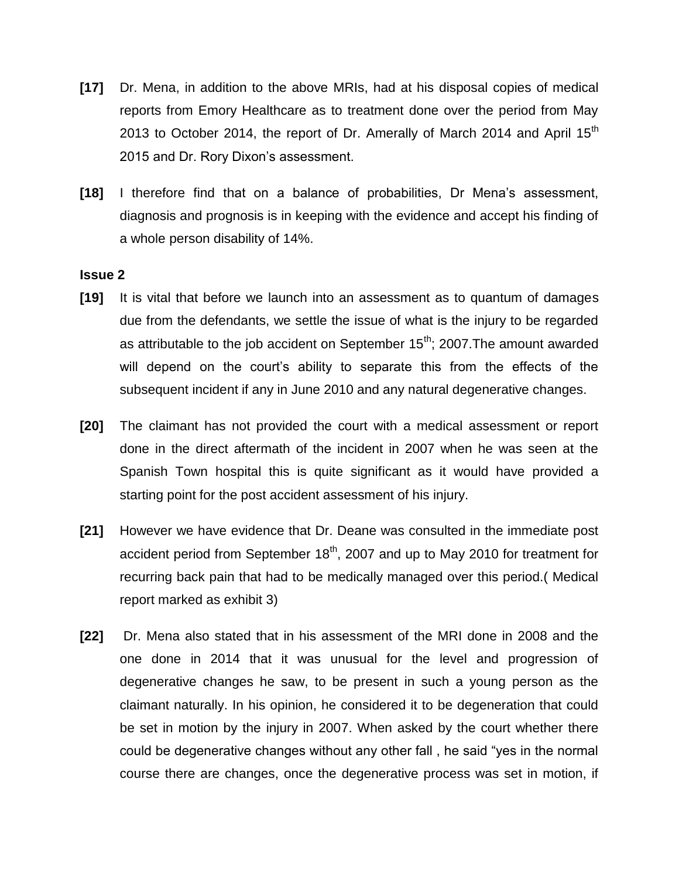- **[17]** Dr. Mena, in addition to the above MRIs, had at his disposal copies of medical reports from Emory Healthcare as to treatment done over the period from May 2013 to October 2014, the report of Dr. Amerally of March 2014 and April  $15<sup>th</sup>$ 2015 and Dr. Rory Dixon's assessment.
- **[18]** I therefore find that on a balance of probabilities, Dr Mena's assessment, diagnosis and prognosis is in keeping with the evidence and accept his finding of a whole person disability of 14%.

#### **Issue 2**

- **[19]** It is vital that before we launch into an assessment as to quantum of damages due from the defendants, we settle the issue of what is the injury to be regarded as attributable to the job accident on September  $15<sup>th</sup>$ ; 2007. The amount awarded will depend on the court's ability to separate this from the effects of the subsequent incident if any in June 2010 and any natural degenerative changes.
- **[20]** The claimant has not provided the court with a medical assessment or report done in the direct aftermath of the incident in 2007 when he was seen at the Spanish Town hospital this is quite significant as it would have provided a starting point for the post accident assessment of his injury.
- **[21]** However we have evidence that Dr. Deane was consulted in the immediate post accident period from September  $18<sup>th</sup>$ , 2007 and up to May 2010 for treatment for recurring back pain that had to be medically managed over this period.( Medical report marked as exhibit 3)
- **[22]** Dr. Mena also stated that in his assessment of the MRI done in 2008 and the one done in 2014 that it was unusual for the level and progression of degenerative changes he saw, to be present in such a young person as the claimant naturally. In his opinion, he considered it to be degeneration that could be set in motion by the injury in 2007. When asked by the court whether there could be degenerative changes without any other fall , he said "yes in the normal course there are changes, once the degenerative process was set in motion, if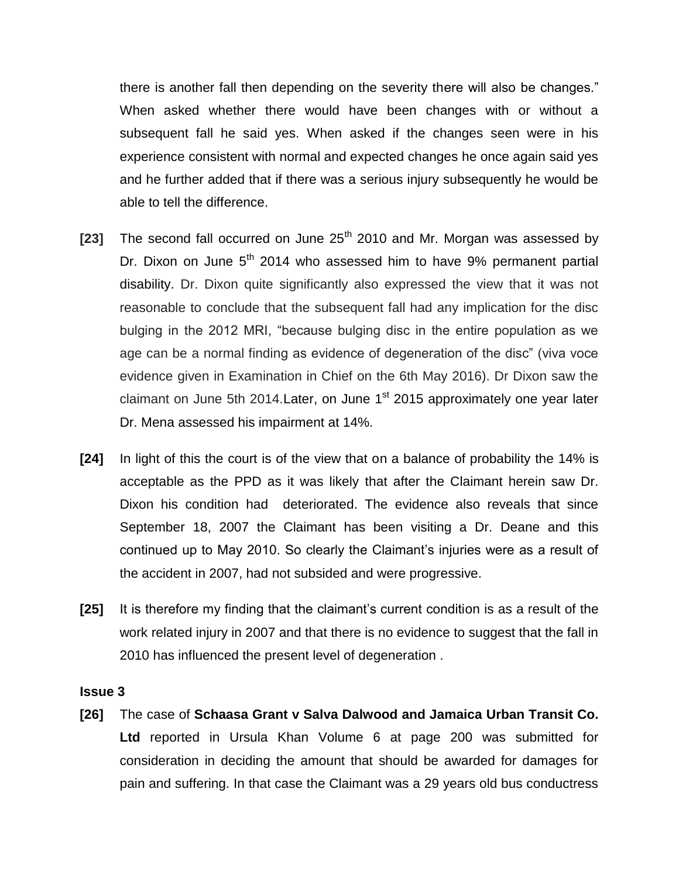there is another fall then depending on the severity there will also be changes." When asked whether there would have been changes with or without a subsequent fall he said yes. When asked if the changes seen were in his experience consistent with normal and expected changes he once again said yes and he further added that if there was a serious injury subsequently he would be able to tell the difference.

- **[23]** The second fall occurred on June 25<sup>th</sup> 2010 and Mr. Morgan was assessed by Dr. Dixon on June  $5<sup>th</sup>$  2014 who assessed him to have 9% permanent partial disability. Dr. Dixon quite significantly also expressed the view that it was not reasonable to conclude that the subsequent fall had any implication for the disc bulging in the 2012 MRI, "because bulging disc in the entire population as we age can be a normal finding as evidence of degeneration of the disc" (viva voce evidence given in Examination in Chief on the 6th May 2016). Dr Dixon saw the claimant on June 5th 2014. Later, on June  $1<sup>st</sup>$  2015 approximately one year later Dr. Mena assessed his impairment at 14%.
- **[24]** In light of this the court is of the view that on a balance of probability the 14% is acceptable as the PPD as it was likely that after the Claimant herein saw Dr. Dixon his condition had deteriorated. The evidence also reveals that since September 18, 2007 the Claimant has been visiting a Dr. Deane and this continued up to May 2010. So clearly the Claimant's injuries were as a result of the accident in 2007, had not subsided and were progressive.
- **[25]** It is therefore my finding that the claimant's current condition is as a result of the work related injury in 2007 and that there is no evidence to suggest that the fall in 2010 has influenced the present level of degeneration .

#### **Issue 3**

**[26]** The case of **Schaasa Grant v Salva Dalwood and Jamaica Urban Transit Co. Ltd** reported in Ursula Khan Volume 6 at page 200 was submitted for consideration in deciding the amount that should be awarded for damages for pain and suffering. In that case the Claimant was a 29 years old bus conductress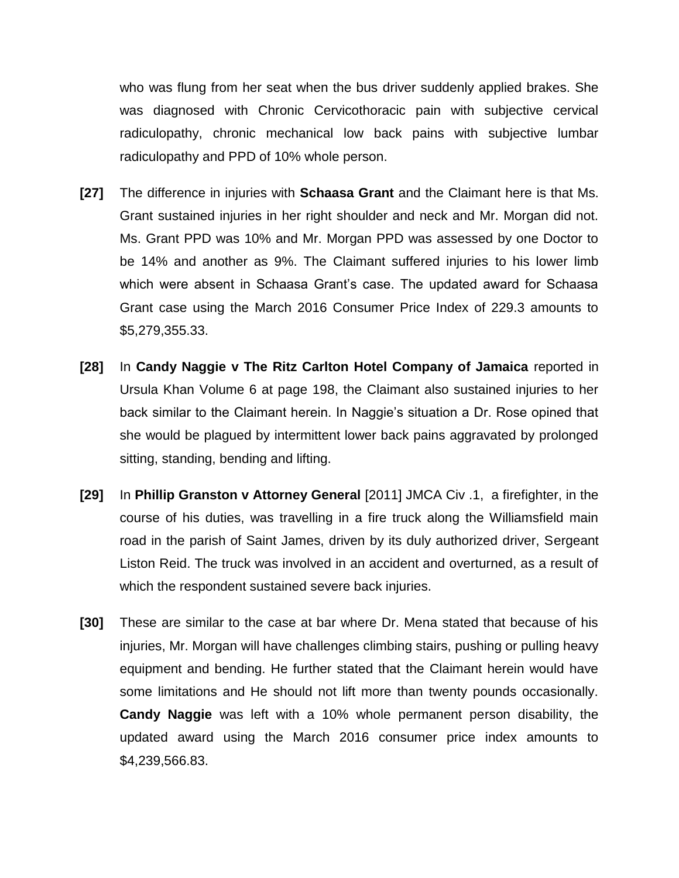who was flung from her seat when the bus driver suddenly applied brakes. She was diagnosed with Chronic Cervicothoracic pain with subjective cervical radiculopathy, chronic mechanical low back pains with subjective lumbar radiculopathy and PPD of 10% whole person.

- **[27]** The difference in injuries with **Schaasa Grant** and the Claimant here is that Ms. Grant sustained injuries in her right shoulder and neck and Mr. Morgan did not. Ms. Grant PPD was 10% and Mr. Morgan PPD was assessed by one Doctor to be 14% and another as 9%. The Claimant suffered injuries to his lower limb which were absent in Schaasa Grant's case. The updated award for Schaasa Grant case using the March 2016 Consumer Price Index of 229.3 amounts to \$5,279,355.33.
- **[28]** In **Candy Naggie v The Ritz Carlton Hotel Company of Jamaica** reported in Ursula Khan Volume 6 at page 198, the Claimant also sustained injuries to her back similar to the Claimant herein. In Naggie's situation a Dr. Rose opined that she would be plagued by intermittent lower back pains aggravated by prolonged sitting, standing, bending and lifting.
- **[29]** In **Phillip Granston v Attorney General** [2011] JMCA Civ .1, a firefighter, in the course of his duties, was travelling in a fire truck along the Williamsfield main road in the parish of Saint James, driven by its duly authorized driver, Sergeant Liston Reid. The truck was involved in an accident and overturned, as a result of which the respondent sustained severe back injuries.
- **[30]** These are similar to the case at bar where Dr. Mena stated that because of his injuries, Mr. Morgan will have challenges climbing stairs, pushing or pulling heavy equipment and bending. He further stated that the Claimant herein would have some limitations and He should not lift more than twenty pounds occasionally. **Candy Naggie** was left with a 10% whole permanent person disability, the updated award using the March 2016 consumer price index amounts to \$4,239,566.83.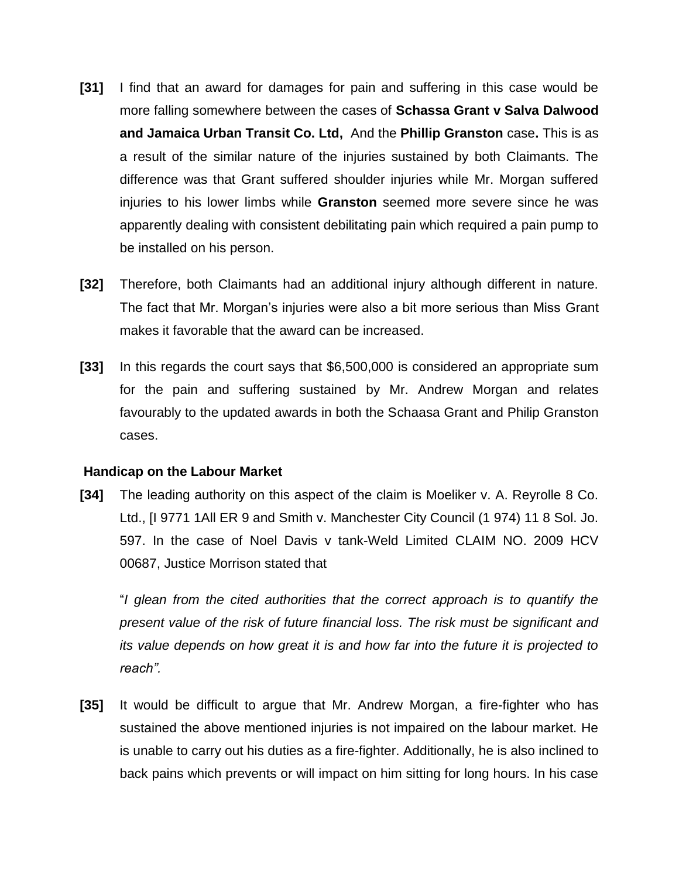- **[31]** I find that an award for damages for pain and suffering in this case would be more falling somewhere between the cases of **Schassa Grant v Salva Dalwood and Jamaica Urban Transit Co. Ltd,** And the **Phillip Granston** case**.** This is as a result of the similar nature of the injuries sustained by both Claimants. The difference was that Grant suffered shoulder injuries while Mr. Morgan suffered injuries to his lower limbs while **Granston** seemed more severe since he was apparently dealing with consistent debilitating pain which required a pain pump to be installed on his person.
- **[32]** Therefore, both Claimants had an additional injury although different in nature. The fact that Mr. Morgan's injuries were also a bit more serious than Miss Grant makes it favorable that the award can be increased.
- **[33]** In this regards the court says that \$6,500,000 is considered an appropriate sum for the pain and suffering sustained by Mr. Andrew Morgan and relates favourably to the updated awards in both the Schaasa Grant and Philip Granston cases.

#### **Handicap on the Labour Market**

**[34]** The leading authority on this aspect of the claim is Moeliker v. A. Reyrolle 8 Co. Ltd., [I 9771 1All ER 9 and Smith v. Manchester City Council (1 974) 11 8 Sol. Jo. 597. In the case of Noel Davis v tank-Weld Limited CLAIM NO. 2009 HCV 00687, Justice Morrison stated that

"*I glean from the cited authorities that the correct approach is to quantify the present value of the risk of future financial loss. The risk must be significant and its value depends on how great it is and how far into the future it is projected to reach".*

**[35]** It would be difficult to argue that Mr. Andrew Morgan, a fire-fighter who has sustained the above mentioned injuries is not impaired on the labour market. He is unable to carry out his duties as a fire-fighter. Additionally, he is also inclined to back pains which prevents or will impact on him sitting for long hours. In his case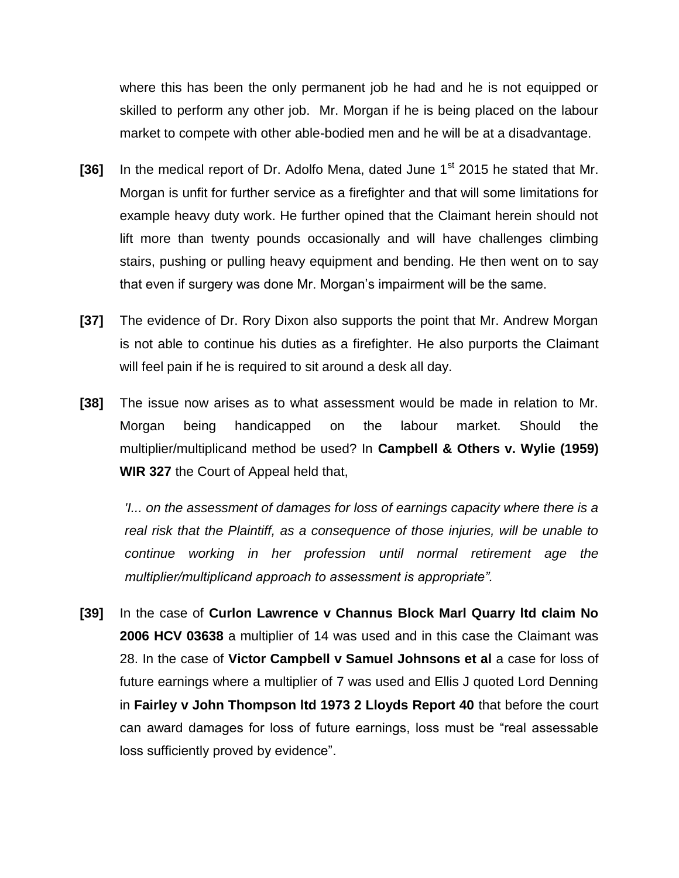where this has been the only permanent job he had and he is not equipped or skilled to perform any other job. Mr. Morgan if he is being placed on the labour market to compete with other able-bodied men and he will be at a disadvantage.

- [36] In the medical report of Dr. Adolfo Mena, dated June 1<sup>st</sup> 2015 he stated that Mr. Morgan is unfit for further service as a firefighter and that will some limitations for example heavy duty work. He further opined that the Claimant herein should not lift more than twenty pounds occasionally and will have challenges climbing stairs, pushing or pulling heavy equipment and bending. He then went on to say that even if surgery was done Mr. Morgan's impairment will be the same.
- **[37]** The evidence of Dr. Rory Dixon also supports the point that Mr. Andrew Morgan is not able to continue his duties as a firefighter. He also purports the Claimant will feel pain if he is required to sit around a desk all day.
- **[38]** The issue now arises as to what assessment would be made in relation to Mr. Morgan being handicapped on the labour market. Should the multiplier/multiplicand method be used? In **Campbell & Others v. Wylie (1959) WIR 327** the Court of Appeal held that,

*'I... on the assessment of damages for loss of earnings capacity where there is a real risk that the Plaintiff, as a consequence of those injuries, will be unable to continue working in her profession until normal retirement age the multiplier/multiplicand approach to assessment is appropriate".*

**[39]** In the case of **Curlon Lawrence v Channus Block Marl Quarry ltd claim No 2006 HCV 03638** a multiplier of 14 was used and in this case the Claimant was 28. In the case of **Victor Campbell v Samuel Johnsons et al** a case for loss of future earnings where a multiplier of 7 was used and Ellis J quoted Lord Denning in **Fairley v John Thompson ltd 1973 2 Lloyds Report 40** that before the court can award damages for loss of future earnings, loss must be "real assessable loss sufficiently proved by evidence".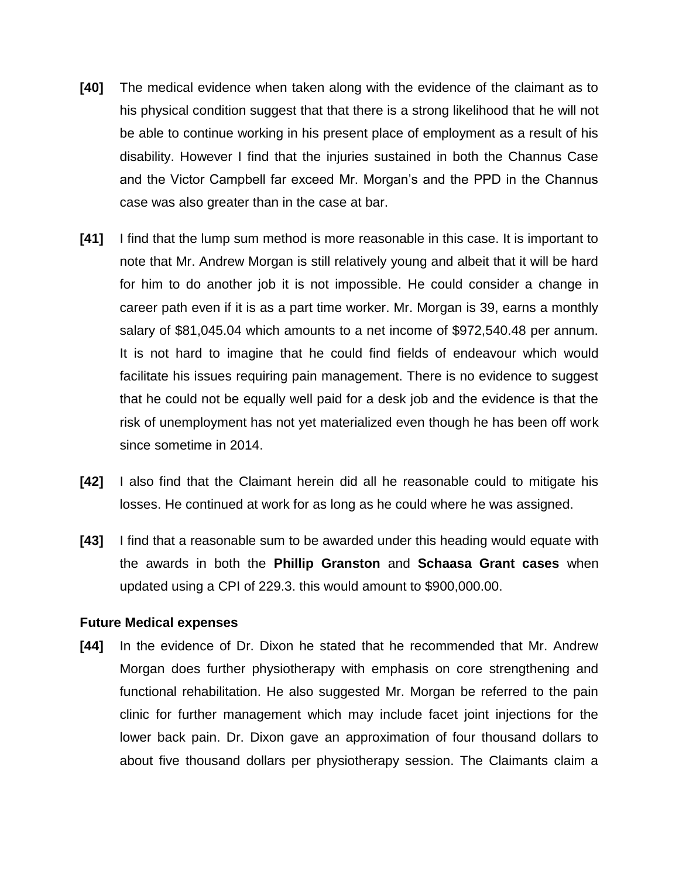- **[40]** The medical evidence when taken along with the evidence of the claimant as to his physical condition suggest that that there is a strong likelihood that he will not be able to continue working in his present place of employment as a result of his disability. However I find that the injuries sustained in both the Channus Case and the Victor Campbell far exceed Mr. Morgan's and the PPD in the Channus case was also greater than in the case at bar.
- **[41]** I find that the lump sum method is more reasonable in this case. It is important to note that Mr. Andrew Morgan is still relatively young and albeit that it will be hard for him to do another job it is not impossible. He could consider a change in career path even if it is as a part time worker. Mr. Morgan is 39, earns a monthly salary of \$81,045.04 which amounts to a net income of \$972,540.48 per annum. It is not hard to imagine that he could find fields of endeavour which would facilitate his issues requiring pain management. There is no evidence to suggest that he could not be equally well paid for a desk job and the evidence is that the risk of unemployment has not yet materialized even though he has been off work since sometime in 2014.
- **[42]** I also find that the Claimant herein did all he reasonable could to mitigate his losses. He continued at work for as long as he could where he was assigned.
- **[43]** I find that a reasonable sum to be awarded under this heading would equate with the awards in both the **Phillip Granston** and **Schaasa Grant cases** when updated using a CPI of 229.3. this would amount to \$900,000.00.

#### **Future Medical expenses**

**[44]** In the evidence of Dr. Dixon he stated that he recommended that Mr. Andrew Morgan does further physiotherapy with emphasis on core strengthening and functional rehabilitation. He also suggested Mr. Morgan be referred to the pain clinic for further management which may include facet joint injections for the lower back pain. Dr. Dixon gave an approximation of four thousand dollars to about five thousand dollars per physiotherapy session. The Claimants claim a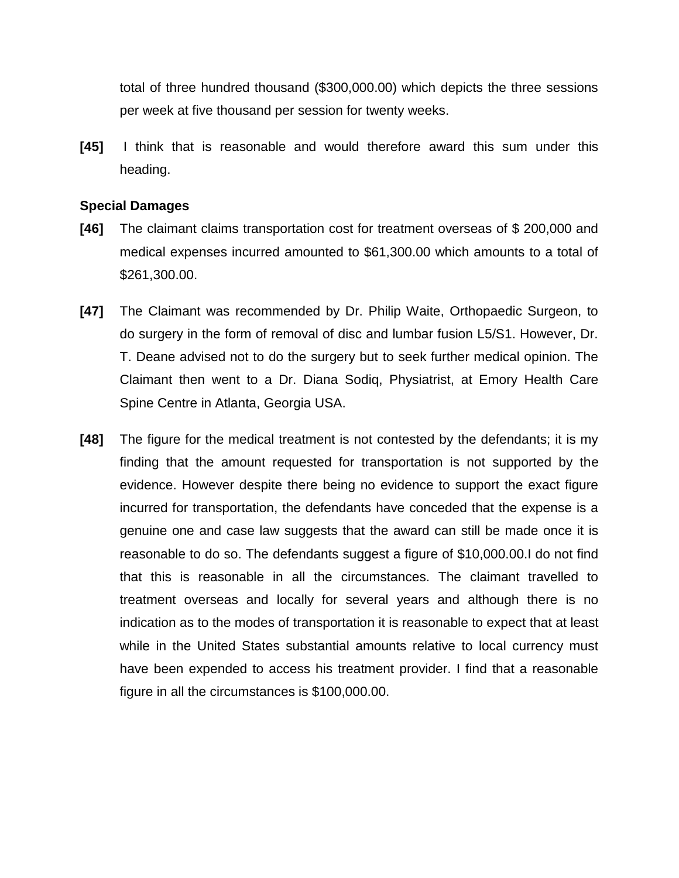total of three hundred thousand (\$300,000.00) which depicts the three sessions per week at five thousand per session for twenty weeks.

**[45]** I think that is reasonable and would therefore award this sum under this heading.

#### **Special Damages**

- **[46]** The claimant claims transportation cost for treatment overseas of \$ 200,000 and medical expenses incurred amounted to \$61,300.00 which amounts to a total of \$261,300.00.
- **[47]** The Claimant was recommended by Dr. Philip Waite, Orthopaedic Surgeon, to do surgery in the form of removal of disc and lumbar fusion L5/S1. However, Dr. T. Deane advised not to do the surgery but to seek further medical opinion. The Claimant then went to a Dr. Diana Sodiq, Physiatrist, at Emory Health Care Spine Centre in Atlanta, Georgia USA.
- **[48]** The figure for the medical treatment is not contested by the defendants; it is my finding that the amount requested for transportation is not supported by the evidence. However despite there being no evidence to support the exact figure incurred for transportation, the defendants have conceded that the expense is a genuine one and case law suggests that the award can still be made once it is reasonable to do so. The defendants suggest a figure of \$10,000.00.I do not find that this is reasonable in all the circumstances. The claimant travelled to treatment overseas and locally for several years and although there is no indication as to the modes of transportation it is reasonable to expect that at least while in the United States substantial amounts relative to local currency must have been expended to access his treatment provider. I find that a reasonable figure in all the circumstances is \$100,000.00.